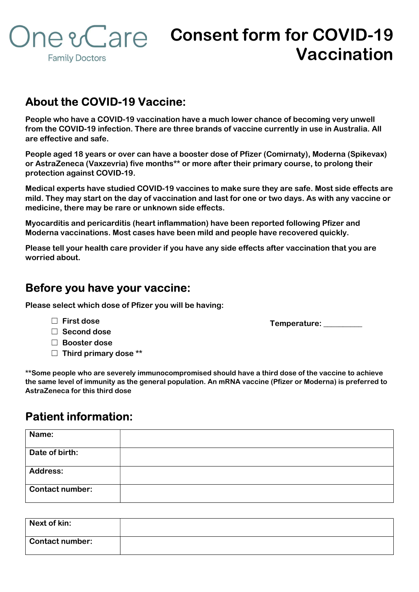

## Consent form for COVID-19 Vaccination

## About the COVID-19 Vaccine:

People who have a COVID-19 vaccination have a much lower chance of becoming very unwell from the COVID-19 infection. There are three brands of vaccine currently in use in Australia. All are effective and safe.

People aged 18 years or over can have a booster dose of Pfizer (Comirnaty), Moderna (Spikevax) or AstraZeneca (Vaxzevria) five months\*\* or more after their primary course, to prolong their protection against COVID-19.

Medical experts have studied COVID-19 vaccines to make sure they are safe. Most side effects are mild. They may start on the day of vaccination and last for one or two days. As with any vaccine or medicine, there may be rare or unknown side effects.

Myocarditis and pericarditis (heart inflammation) have been reported following Pfizer and Moderna vaccinations. Most cases have been mild and people have recovered quickly.

Please tell your health care provider if you have any side effects after vaccination that you are worried about.

## Before you have your vaccine:

Please select which dose of Pfizer you will be having:

### ☐ First dose

- ☐ Second dose
- ☐ Booster dose
- $\Box$  Third primary dose \*\*

\*\*Some people who are severely immunocompromised should have a third dose of the vaccine to achieve the same level of immunity as the general population. An mRNA vaccine (Pfizer or Moderna) is preferred to AstraZeneca for this third dose

## Patient information:

| Name:                  |  |
|------------------------|--|
|                        |  |
| Date of birth:         |  |
|                        |  |
| <b>Address:</b>        |  |
| <b>Contact number:</b> |  |

| Next of kin:           |  |
|------------------------|--|
| <b>Contact number:</b> |  |

Temperature: \_\_\_\_\_\_\_\_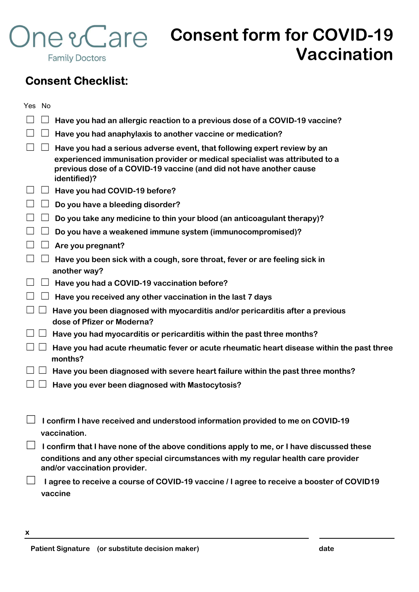

# One e Care consent form for COVID-19 Vaccination

## Consent Checklist:

| Yes No |                                                                                                                                                                                                                                                |
|--------|------------------------------------------------------------------------------------------------------------------------------------------------------------------------------------------------------------------------------------------------|
|        | Have you had an allergic reaction to a previous dose of a COVID-19 vaccine?                                                                                                                                                                    |
|        | Have you had anaphylaxis to another vaccine or medication?                                                                                                                                                                                     |
|        | Have you had a serious adverse event, that following expert review by an<br>experienced immunisation provider or medical specialist was attributed to a<br>previous dose of a COVID-19 vaccine (and did not have another cause<br>identified)? |
|        | Have you had COVID-19 before?                                                                                                                                                                                                                  |
|        | Do you have a bleeding disorder?                                                                                                                                                                                                               |
|        | Do you take any medicine to thin your blood (an anticoagulant therapy)?                                                                                                                                                                        |
|        | Do you have a weakened immune system (immunocompromised)?                                                                                                                                                                                      |
|        | Are you pregnant?                                                                                                                                                                                                                              |
|        | Have you been sick with a cough, sore throat, fever or are feeling sick in<br>another way?                                                                                                                                                     |
|        | Have you had a COVID-19 vaccination before?                                                                                                                                                                                                    |
|        | Have you received any other vaccination in the last 7 days                                                                                                                                                                                     |
|        | Have you been diagnosed with myocarditis and/or pericarditis after a previous<br>dose of Pfizer or Moderna?                                                                                                                                    |
|        | Have you had myocarditis or pericarditis within the past three months?                                                                                                                                                                         |
|        | Have you had acute rheumatic fever or acute rheumatic heart disease within the past three<br>months?                                                                                                                                           |
|        | Have you been diagnosed with severe heart failure within the past three months?                                                                                                                                                                |
|        | Have you ever been diagnosed with Mastocytosis?                                                                                                                                                                                                |
|        | I confirm I have received and understood information provided to me on COVID-19                                                                                                                                                                |
|        | vaccination.                                                                                                                                                                                                                                   |
|        | I confirm that I have none of the above conditions apply to me, or I have discussed these<br>conditions and any other special circumstances with my regular health care provider<br>and/or vaccination provider.                               |
|        | I agree to receive a course of COVID-19 vaccine / I agree to receive a booster of COVID19<br>vaccine                                                                                                                                           |

x